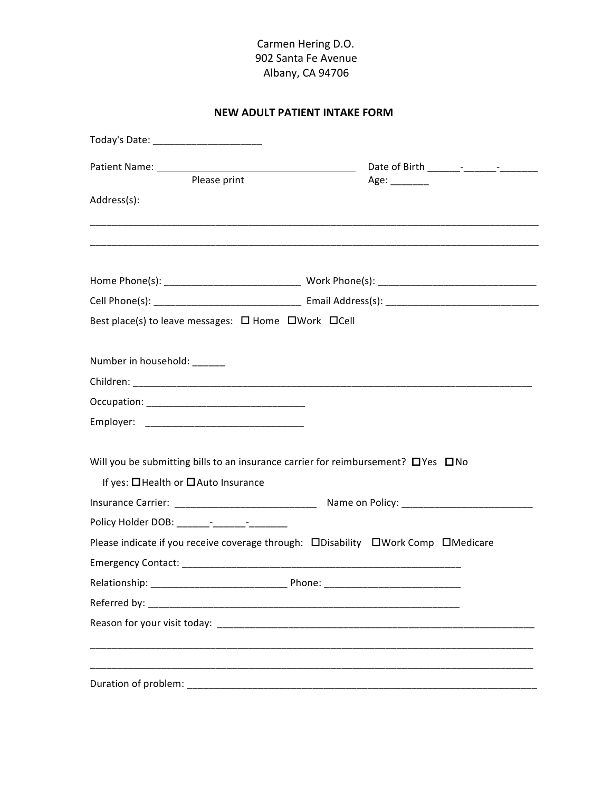# **NEW ADULT PATIENT INTAKE FORM**

| Today's Date: __________________________                                                                         |                                                                                                                      |
|------------------------------------------------------------------------------------------------------------------|----------------------------------------------------------------------------------------------------------------------|
|                                                                                                                  |                                                                                                                      |
| Please print                                                                                                     | Age: ________                                                                                                        |
| Address(s):                                                                                                      |                                                                                                                      |
|                                                                                                                  | <u> 1989 - Johann Barn, mars eta bat erroman erroman erroman erroman erroman erroman ezkin ezkin erroman ezkin e</u> |
|                                                                                                                  |                                                                                                                      |
|                                                                                                                  |                                                                                                                      |
| Best place(s) to leave messages: □ Home □ Work □ Cell                                                            |                                                                                                                      |
|                                                                                                                  |                                                                                                                      |
| Number in household: ______                                                                                      |                                                                                                                      |
|                                                                                                                  |                                                                                                                      |
|                                                                                                                  |                                                                                                                      |
|                                                                                                                  |                                                                                                                      |
|                                                                                                                  |                                                                                                                      |
| Will you be submitting bills to an insurance carrier for reimbursement? OYes ONO                                 |                                                                                                                      |
| If yes: □ Health or □ Auto Insurance                                                                             |                                                                                                                      |
|                                                                                                                  | Insurance Carrier: ___________________________________ Name on Policy: ____________________________                  |
|                                                                                                                  |                                                                                                                      |
|                                                                                                                  | Please indicate if you receive coverage through: DDisability DWork Comp DMedicare                                    |
|                                                                                                                  |                                                                                                                      |
|                                                                                                                  |                                                                                                                      |
|                                                                                                                  |                                                                                                                      |
| Reason for your visit today: example and a series of the series of the series of the series of the series of the |                                                                                                                      |
|                                                                                                                  |                                                                                                                      |
|                                                                                                                  |                                                                                                                      |
| Duration of problem:                                                                                             |                                                                                                                      |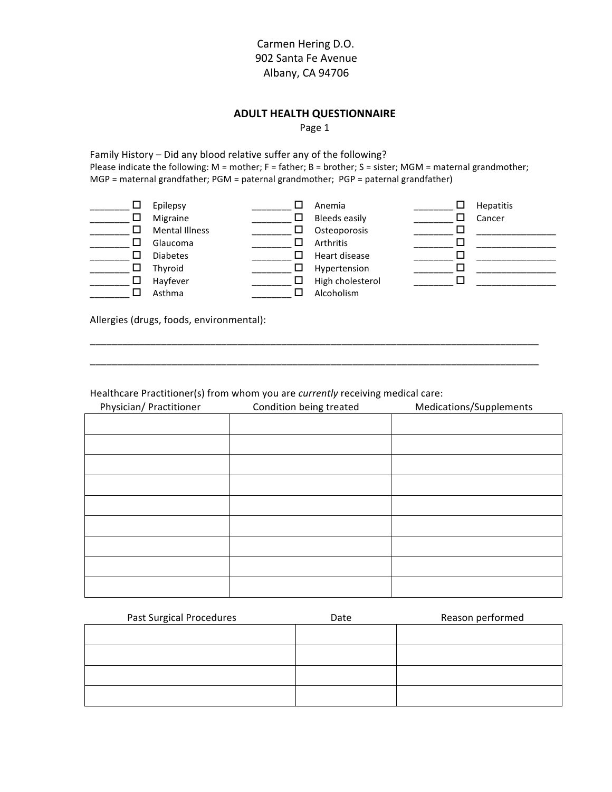## **Carmen Hering D.O.** '''''''''''''''''''''''''''''''''''''''''''''''''''''''''''''902'Santa'Fe'Avenue Albany, CA 94706

#### **ADULT HEALTH QUESTIONNAIRE**

Page 1

Family History – Did any blood relative suffer any of the following? Please indicate the following: M = mother; F = father; B = brother; S = sister; MGM = maternal grandmother; MGP = maternal grandfather; PGM = paternal grandmother; PGP = paternal grandfather)

| ப  | Epilepsy              |    | Anemia               | ப | <b>Hepatitis</b> |
|----|-----------------------|----|----------------------|---|------------------|
|    | Migraine              |    | <b>Bleeds easily</b> |   | Cancer           |
| ΙI | <b>Mental Illness</b> | ΙI | Osteoporosis         |   |                  |
| ΙI | Glaucoma              |    | Arthritis            |   |                  |
|    | <b>Diabetes</b>       |    | Heart disease        |   |                  |
| ப  | Thyroid               |    | Hypertension         |   |                  |
| ப  | Hayfever              |    | High cholesterol     |   |                  |
|    | Asthma                |    | Alcoholism           |   |                  |

\_\_\_\_\_\_\_\_\_\_\_\_\_\_\_\_\_\_\_\_\_\_\_\_\_\_\_\_\_\_\_\_\_\_\_\_\_\_\_\_\_\_\_\_\_\_\_\_\_\_\_\_\_\_\_\_\_\_\_\_\_\_\_\_\_\_\_\_\_\_\_\_\_\_\_\_\_\_\_\_\_\_ \_\_\_\_\_\_\_\_\_\_\_\_\_\_\_\_\_\_\_\_\_\_\_\_\_\_\_\_\_\_\_\_\_\_\_\_\_\_\_\_\_\_\_\_\_\_\_\_\_\_\_\_\_\_\_\_\_\_\_\_\_\_\_\_\_\_\_\_\_\_\_\_\_\_\_\_\_\_\_\_\_\_

Allergies (drugs, foods, environmental):

Healthcare Practitioner(s) from whom you are *currently* receiving medical care:

| Physician/ Practitioner | Condition being treated | Medications/Supplements |
|-------------------------|-------------------------|-------------------------|
|                         |                         |                         |
|                         |                         |                         |
|                         |                         |                         |
|                         |                         |                         |
|                         |                         |                         |
|                         |                         |                         |
|                         |                         |                         |
|                         |                         |                         |
|                         |                         |                         |

| <b>Past Surgical Procedures</b> | Date | Reason performed |
|---------------------------------|------|------------------|
|                                 |      |                  |
|                                 |      |                  |
|                                 |      |                  |
|                                 |      |                  |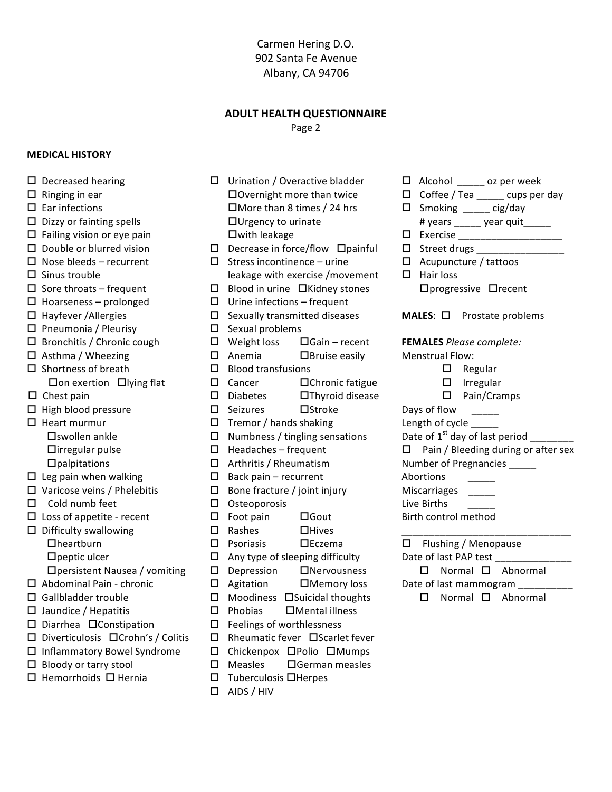#### **ADULT HEALTH QUESTIONNAIRE**

Page 2

#### **MEDICAL HISTORY**

- $\Box$  Decreased hearing
- $\Box$  Ringing in ear
- $\Box$  Ear infections
- $\Box$  Dizzy or fainting spells
- $\Box$  Failing vision or eye pain
- $\square$  Double or blurred vision
- $\Box$  Nose bleeds recurrent
- $\square$  Sinus trouble
- $\Box$  Sore throats frequent
- $\Box$  Hoarseness prolonged
- $\Box$  Hayfever / Allergies
- $\Box$  Pneumonia / Pleurisy
- $\Box$  Bronchitis / Chronic cough
- $\Box$  Asthma / Wheezing
- $\square$  Shortness of breath □ On exertion □ lying flat
- $\Box$  Chest pain
- $\Box$  High blood pressure
- $\Box$  Heart murmur  $\square$ swollen ankle □irregular pulse  $\Box$ palpitations
- $\Box$  Leg pain when walking
- $\Box$  Varicose veins / Phelebitis
- $\Box$  Cold numb feet
- $\Box$  Loss of appetite recent
- $\Box$  Difficulty swallowing  $D$ heartburn  $\Box$  peptic ulcer
	- □ persistent Nausea / vomiting
- $\Box$  Abdominal Pain chronic
- $\Box$  Gallbladder trouble
- $\Box$  Jaundice / Hepatitis
- □ Diarrhea □ Constipation
- □ Diverticulosis □ Crohn's / Colitis
- $\Box$  Inflammatory Bowel Syndrome
- $\Box$  Bloody or tarry stool
- $\Box$  Hemorrhoids  $\Box$  Hernia
- $\Box$  Urination / Overactive bladder □ Overnight more than twice  $\Box$  More than 8 times / 24 hrs  $\Box$ Urgency to urinate □with leakage  $\Box$  Decrease in force/flow  $\Box$  painful  $\Box$  Stress incontinence – urine leakage with exercise / movement  $\Box$  Blood in urine  $\Box$ Kidney stones  $\Box$  Urine infections – frequent  $\square$  Sexually transmitted diseases  $\Box$  Sexual problems  $\Box$  Weight loss  $\Box$ Gain – recent
- $\Box$  Anemia  $\Box$ Bruise easily
- $\Box$  Blood transfusions
- $\Box$  Cancer
- □Chronic fatigue □Thyroid disease  $\square$  Diabetes
- $\Box$ Stroke
- $\Box$  Seizures
- $\Box$  Tremor / hands shaking
- $\Box$  Numbness / tingling sensations
- $\Box$  Headaches frequent
- $\Box$  Arthritis / Rheumatism
- $\Box$  Back pain recurrent
- $\Box$  Bone fracture / joint injury
- $\Box$  Osteoporosis
- $\Box$  Foot pain  $\square$  Gout
- $\Box$  Rashes  $\Box$ Hives
- $\Box$  Psoriasis  $\square$ Eczema
- $\Box$  Any type of sleeping difficulty
- $\square$  Depression  $\Box$ Nervousness
- $\Box$  Agitation □Memory loss
- $\Box$  Moodiness  $\Box$ Suicidal thoughts
- $\Box$  Phobias □Mental illness
- $\Box$  Feelings of worthlessness
- □ Rheumatic fever □ Scarlet fever
- □ Chickenpox □Polio □Mumps
	- $\square$  Measles □German measles
	- $\Box$  Tuberculosis  $\Box$  Herpes
	- $\Box$  AIDS / HIV
- $\Box$  Alcohol oz per week
- $\Box$  Coffee / Tea \_\_\_\_\_ cups per day
- $\Box$  Smoking \_\_\_\_\_\_ cig/day
- # years \_\_\_\_\_\_ year quit\_\_\_\_\_
- 口 Exercise \_\_\_\_\_\_\_\_\_\_\_\_\_\_\_\_\_\_\_\_\_\_\_\_
- $\Box$  Street drugs
- $\Box$  Acupuncture / tattoos
- $\Box$  Hair loss □ progressive □ recent
- **MALES:**  $\Box$  Prostate problems

**FEMALES** Please complete: **Menstrual Flow:** 

- $\Box$  Regular
- $\Box$  Irregular
- $\Box$  Pain/Cramps
- Days of flow
- Length of cycle \_
- Date of 1<sup>st</sup> day of last period
- $\Box$  Pain / Bleeding during or after sex

 $\frac{1}{1}$ 

- Number of Pregnancies
- Abortions
- **Miscarriages**
- Live Births
- Birth control method
- $\Box$  Flushing / Menopause Date of last PAP test  $\square$  Normal  $\square$  Abnormal
- Date of last mammogram
	- $\Box$  Normal  $\Box$  Abnormal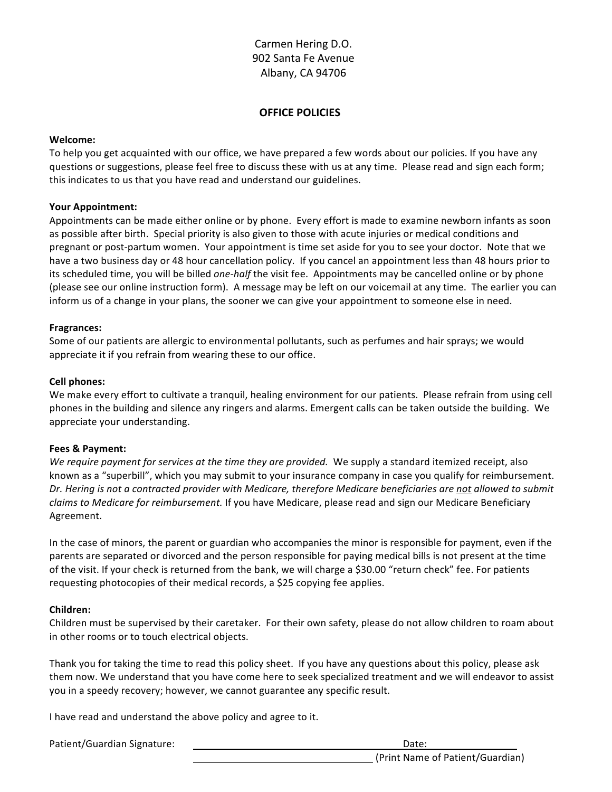### **OFFICE POLICIES**

#### **Welcome:**

To help you get acquainted with our office, we have prepared a few words about our policies. If you have any questions or suggestions, please feel free to discuss these with us at any time. Please read and sign each form; this indicates to us that you have read and understand our guidelines.

#### **Your!Appointment:**

Appointments can be made either online or by phone. Every effort is made to examine newborn infants as soon' as possible after birth. Special priority is also given to those with acute injuries or medical conditions and pregnant or post-partum women. Your appointment is time set aside for you to see your doctor. Note that we have a two business day or 48 hour cancellation policy. If you cancel an appointment less than 48 hours prior to its scheduled time, you will be billed *one-half* the visit fee. Appointments may be cancelled online or by phone (please see our online instruction form). A message may be left on our voicemail at any time. The earlier you can inform us of a change in your plans, the sooner we can give your appointment to someone else in need.

#### **Fragrances:**

Some of our patients are allergic to environmental pollutants, such as perfumes and hair sprays; we would appreciate it if you refrain from wearing these to our office.

#### **Cell!phones:**

We make every effort to cultivate a tranquil, healing environment for our patients. Please refrain from using cell phones in the building and silence any ringers and alarms. Emergent calls can be taken outside the building. We appreciate your understanding.

#### **Fees & Payment:**

*We require payment for services at the time they are provided.* We supply a standard itemized receipt, also known as a "superbill", which you may submit to your insurance company in case you qualify for reimbursement. *Dr. Hering is not a contracted provider with Medicare, therefore Medicare beneficiaries are not allowed to submit* claims to Medicare for reimbursement. If you have Medicare, please read and sign our Medicare Beneficiary Agreement.

In the case of minors, the parent or guardian who accompanies the minor is responsible for payment, even if the parents are separated or divorced and the person responsible for paying medical bills is not present at the time of the visit. If your check is returned from the bank, we will charge a \$30.00 "return check" fee. For patients requesting photocopies of their medical records, a \$25 copying fee applies.

#### **Children:**

Children must be supervised by their caretaker. For their own safety, please do not allow children to roam about in other rooms or to touch electrical objects.

Thank you for taking the time to read this policy sheet. If you have any questions about this policy, please ask them now. We understand that you have come here to seek specialized treatment and we will endeavor to assist you in a speedy recovery; however, we cannot guarantee any specific result.

I have read and understand the above policy and agree to it.

Patient/Guardian'Signature:' '''''''''''''''''''''''''''''''''''''''''' ''''''''''''Date: ''''''''''''''''''''''''' (Print Name of Patient/Guardian)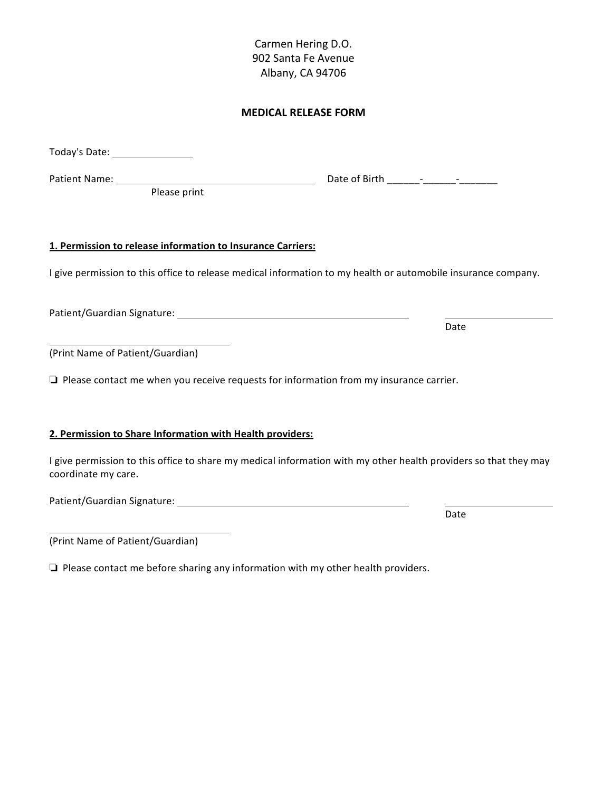## **MEDICAL!RELEASE!FORM**

| Today's Date: _________________                                                               |                                                                                                                  |
|-----------------------------------------------------------------------------------------------|------------------------------------------------------------------------------------------------------------------|
| Please print                                                                                  |                                                                                                                  |
| 1. Permission to release information to Insurance Carriers:                                   |                                                                                                                  |
|                                                                                               | I give permission to this office to release medical information to my health or automobile insurance company.    |
|                                                                                               | Date                                                                                                             |
| (Print Name of Patient/Guardian)                                                              |                                                                                                                  |
| $\Box$ Please contact me when you receive requests for information from my insurance carrier. |                                                                                                                  |
| 2. Permission to Share Information with Health providers:                                     |                                                                                                                  |
| coordinate my care.                                                                           | I give permission to this office to share my medical information with my other health providers so that they may |

Patient/Guardian'Signature:'

(Print Name of Patient/Guardian)

❏''Please'contact'me'before'sharing'any'information'with'my'other'health'providers.

Date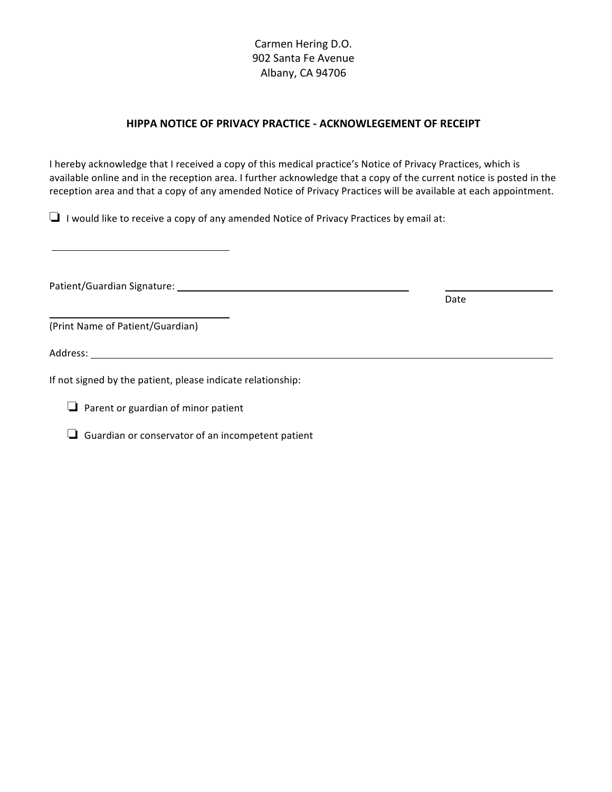## **HIPPA NOTICE OF PRIVACY PRACTICE - ACKNOWLEGEMENT OF RECEIPT**

I hereby acknowledge that I received a copy of this medical practice's Notice of Privacy Practices, which is available online and in the reception area. I further acknowledge that a copy of the current notice is posted in the reception area and that a copy of any amended Notice of Privacy Practices will be available at each appointment.

 $\Box$  I would like to receive a copy of any amended Notice of Privacy Practices by email at:

Patient/Guardian'Signature:'

(Print Name of Patient/Guardian)

Address:' ''''''' ''''''' ''''''''''

If not signed by the patient, please indicate relationship:

 $\Box$  Parent or guardian of minor patient

 $\Box$  Guardian or conservator of an incompetent patient

Date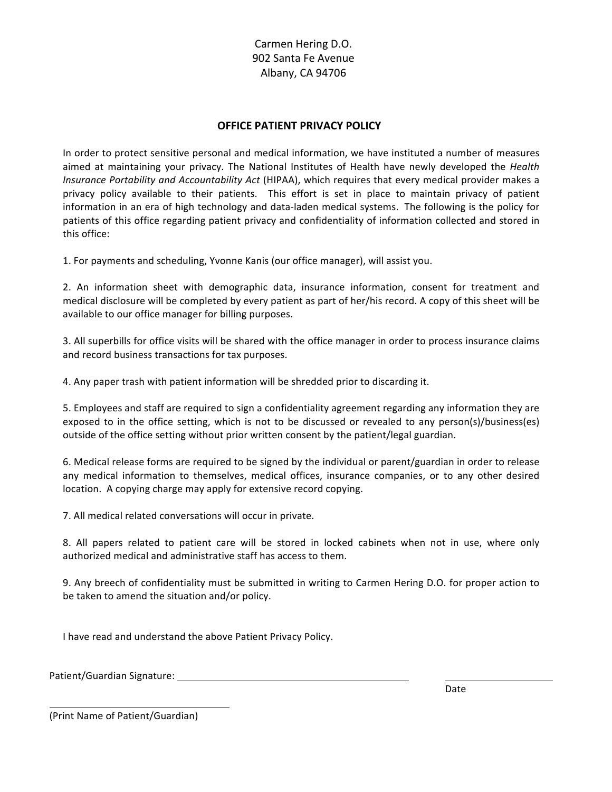## **OFFICE PATIENT PRIVACY POLICY**

In order to protect sensitive personal and medical information, we have instituted a number of measures aimed at maintaining your privacy. The National Institutes of Health have newly developed the *Health Insurance Portability and Accountability Act* (HIPAA), which requires that every medical provider makes a privacy policy available to their patients. This effort is set in place to maintain privacy of patient information in an era of high technology and data-laden medical systems. The following is the policy for patients of this office regarding patient privacy and confidentiality of information collected and stored in this office:

1. For payments and scheduling, Yvonne Kanis (our office manager), will assist you.

2. An information sheet with demographic data, insurance information, consent for treatment and medical disclosure will be completed by every patient as part of her/his record. A copy of this sheet will be available to our office manager for billing purposes.

3. All superbills for office visits will be shared with the office manager in order to process insurance claims and record business transactions for tax purposes.

4. Any paper trash with patient information will be shredded prior to discarding it.

5. Employees and staff are required to sign a confidentiality agreement regarding any information they are exposed to in the office setting, which is not to be discussed or revealed to any person(s)/business(es) outside of the office setting without prior written consent by the patient/legal guardian.

6. Medical release forms are required to be signed by the individual or parent/guardian in order to release any medical information to themselves, medical offices, insurance companies, or to any other desired location. A copying charge may apply for extensive record copying.

7. All medical related conversations will occur in private.

8. All papers related to patient care will be stored in locked cabinets when not in use, where only authorized medical and administrative staff has access to them.

9. Any breech of confidentiality must be submitted in writing to Carmen Hering D.O. for proper action to be taken to amend the situation and/or policy.

I have read and understand the above Patient Privacy Policy.

Patient/Guardian Signature:

Date

(Print Name of Patient/Guardian)